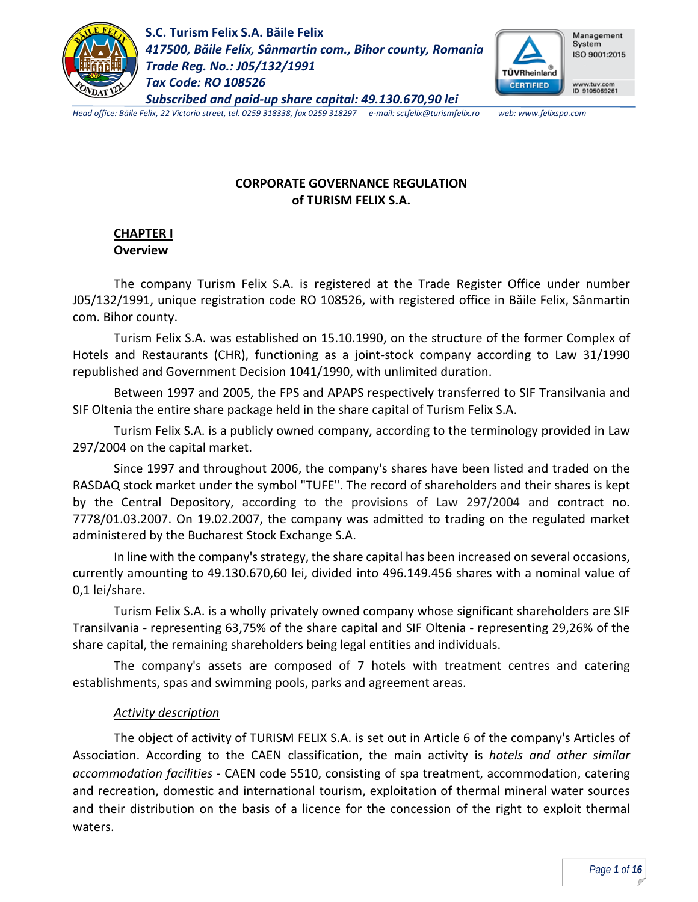



*Head office: Băile Felix, 22 Victoria street, tel. 0259 318338, fax 0259 318297 e-mail: sctfelix@turismfelix.ro web: www.felixspa.com*

### **CORPORATE GOVERNANCE REGULATION of TURISM FELIX S.A.**

#### **CHAPTER I Overview**

The company Turism Felix S.A. is registered at the Trade Register Office under number J05/132/1991, unique registration code RO 108526, with registered office in Băile Felix, Sânmartin com. Bihor county.

Turism Felix S.A. was established on 15.10.1990, on the structure of the former Complex of Hotels and Restaurants (CHR), functioning as a joint-stock company according to Law 31/1990 republished and Government Decision 1041/1990, with unlimited duration.

Between 1997 and 2005, the FPS and APAPS respectively transferred to SIF Transilvania and SIF Oltenia the entire share package held in the share capital of Turism Felix S.A.

Turism Felix S.A. is a publicly owned company, according to the terminology provided in Law 297/2004 on the capital market.

Since 1997 and throughout 2006, the company's shares have been listed and traded on the RASDAQ stock market under the symbol "TUFE". The record of shareholders and their shares is kept by the Central Depository, according to the provisions of Law 297/2004 and contract no. 7778/01.03.2007. On 19.02.2007, the company was admitted to trading on the regulated market administered by the Bucharest Stock Exchange S.A.

In line with the company's strategy, the share capital has been increased on several occasions, currently amounting to 49.130.670,60 lei, divided into 496.149.456 shares with a nominal value of 0,1 lei/share.

Turism Felix S.A. is a wholly privately owned company whose significant shareholders are SIF Transilvania - representing 63,75% of the share capital and SIF Oltenia - representing 29,26% of the share capital, the remaining shareholders being legal entities and individuals.

The company's assets are composed of 7 hotels with treatment centres and catering establishments, spas and swimming pools, parks and agreement areas.

### *Activity description*

The object of activity of TURISM FELIX S.A. is set out in Article 6 of the company's Articles of Association. According to the CAEN classification, the main activity is *hotels and other similar accommodation facilities* - CAEN code 5510, consisting of spa treatment, accommodation, catering and recreation, domestic and international tourism, exploitation of thermal mineral water sources and their distribution on the basis of a licence for the concession of the right to exploit thermal waters.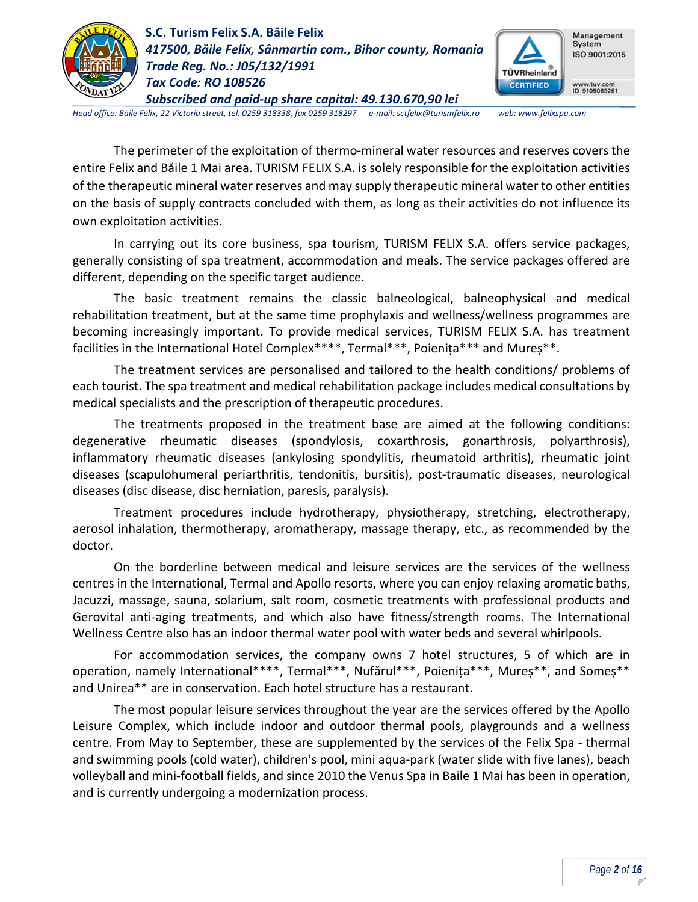



*Head office: Băile Felix, 22 Victoria street, tel. 0259 318338, fax 0259 318297 e-mail: sctfelix@turismfelix.ro web: www.felixspa.com*

The perimeter of the exploitation of thermo-mineral water resources and reserves covers the entire Felix and Băile 1 Mai area. TURISM FELIX S.A. is solely responsible for the exploitation activities of the therapeutic mineral water reserves and may supply therapeutic mineral water to other entities on the basis of supply contracts concluded with them, as long as their activities do not influence its own exploitation activities.

In carrying out its core business, spa tourism, TURISM FELIX S.A. offers service packages, generally consisting of spa treatment, accommodation and meals. The service packages offered are different, depending on the specific target audience.

The basic treatment remains the classic balneological, balneophysical and medical rehabilitation treatment, but at the same time prophylaxis and wellness/wellness programmes are becoming increasingly important. To provide medical services, TURISM FELIX S.A. has treatment facilities in the International Hotel Complex\*\*\*\*, Termal\*\*\*, Poienița\*\*\* and Mureș\*\*.

The treatment services are personalised and tailored to the health conditions/ problems of each tourist. The spa treatment and medical rehabilitation package includes medical consultations by medical specialists and the prescription of therapeutic procedures.

The treatments proposed in the treatment base are aimed at the following conditions: degenerative rheumatic diseases (spondylosis, coxarthrosis, gonarthrosis, polyarthrosis), inflammatory rheumatic diseases (ankylosing spondylitis, rheumatoid arthritis), rheumatic joint diseases (scapulohumeral periarthritis, tendonitis, bursitis), post-traumatic diseases, neurological diseases (disc disease, disc herniation, paresis, paralysis).

Treatment procedures include hydrotherapy, physiotherapy, stretching, electrotherapy, aerosol inhalation, thermotherapy, aromatherapy, massage therapy, etc., as recommended by the doctor.

On the borderline between medical and leisure services are the services of the wellness centres in the International, Termal and Apollo resorts, where you can enjoy relaxing aromatic baths, Jacuzzi, massage, sauna, solarium, salt room, cosmetic treatments with professional products and Gerovital anti-aging treatments, and which also have fitness/strength rooms. The International Wellness Centre also has an indoor thermal water pool with water beds and several whirlpools.

For accommodation services, the company owns 7 hotel structures, 5 of which are in operation, namely International\*\*\*\*, Termal\*\*\*, Nufărul\*\*\*, Poienița\*\*\*, Mureș\*\*, and Someș\*\* and Unirea\*\* are in conservation. Each hotel structure has a restaurant.

The most popular leisure services throughout the year are the services offered by the Apollo Leisure Complex, which include indoor and outdoor thermal pools, playgrounds and a wellness centre. From May to September, these are supplemented by the services of the Felix Spa - thermal and swimming pools (cold water), children's pool, mini aqua-park (water slide with five lanes), beach volleyball and mini-football fields, and since 2010 the Venus Spa in Baile 1 Mai has been in operation, and is currently undergoing a modernization process.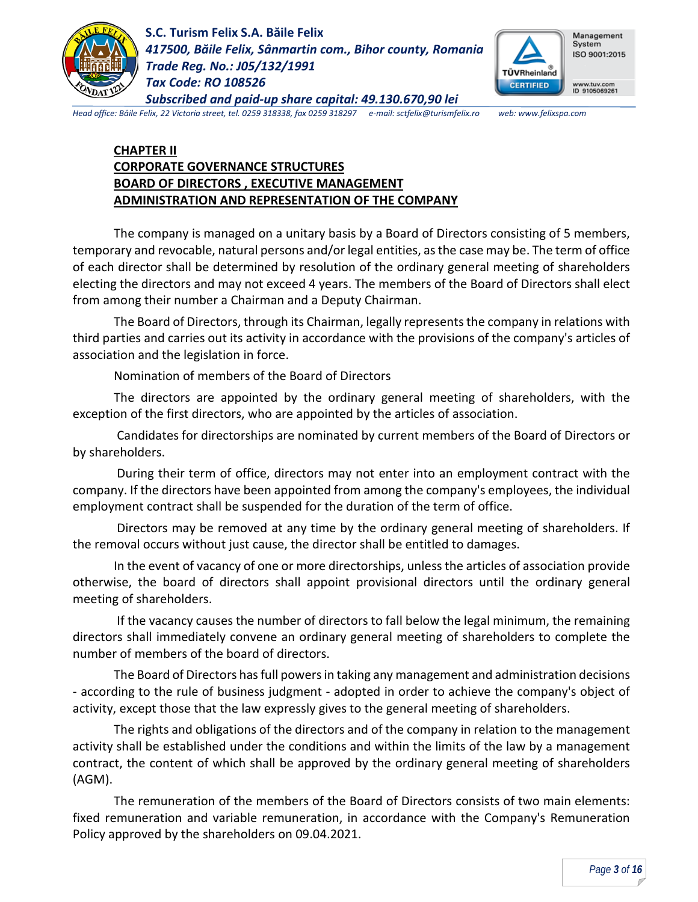



*Head office: Băile Felix, 22 Victoria street, tel. 0259 318338, fax 0259 318297 e-mail: sctfelix@turismfelix.ro web: www.felixspa.com*

### **CHAPTER II CORPORATE GOVERNANCE STRUCTURES BOARD OF DIRECTORS , EXECUTIVE MANAGEMENT ADMINISTRATION AND REPRESENTATION OF THE COMPANY**

The company is managed on a unitary basis by a Board of Directors consisting of 5 members, temporary and revocable, natural persons and/or legal entities, as the case may be. The term of office of each director shall be determined by resolution of the ordinary general meeting of shareholders electing the directors and may not exceed 4 years. The members of the Board of Directors shall elect from among their number a Chairman and a Deputy Chairman.

The Board of Directors, through its Chairman, legally represents the company in relations with third parties and carries out its activity in accordance with the provisions of the company's articles of association and the legislation in force.

Nomination of members of the Board of Directors

The directors are appointed by the ordinary general meeting of shareholders, with the exception of the first directors, who are appointed by the articles of association.

Candidates for directorships are nominated by current members of the Board of Directors or by shareholders.

During their term of office, directors may not enter into an employment contract with the company. If the directors have been appointed from among the company's employees, the individual employment contract shall be suspended for the duration of the term of office.

Directors may be removed at any time by the ordinary general meeting of shareholders. If the removal occurs without just cause, the director shall be entitled to damages.

In the event of vacancy of one or more directorships, unless the articles of association provide otherwise, the board of directors shall appoint provisional directors until the ordinary general meeting of shareholders.

If the vacancy causes the number of directors to fall below the legal minimum, the remaining directors shall immediately convene an ordinary general meeting of shareholders to complete the number of members of the board of directors.

The Board of Directors has full powers in taking any management and administration decisions - according to the rule of business judgment - adopted in order to achieve the company's object of activity, except those that the law expressly gives to the general meeting of shareholders.

The rights and obligations of the directors and of the company in relation to the management activity shall be established under the conditions and within the limits of the law by a management contract, the content of which shall be approved by the ordinary general meeting of shareholders (AGM).

The remuneration of the members of the Board of Directors consists of two main elements: fixed remuneration and variable remuneration, in accordance with the Company's Remuneration Policy approved by the shareholders on 09.04.2021.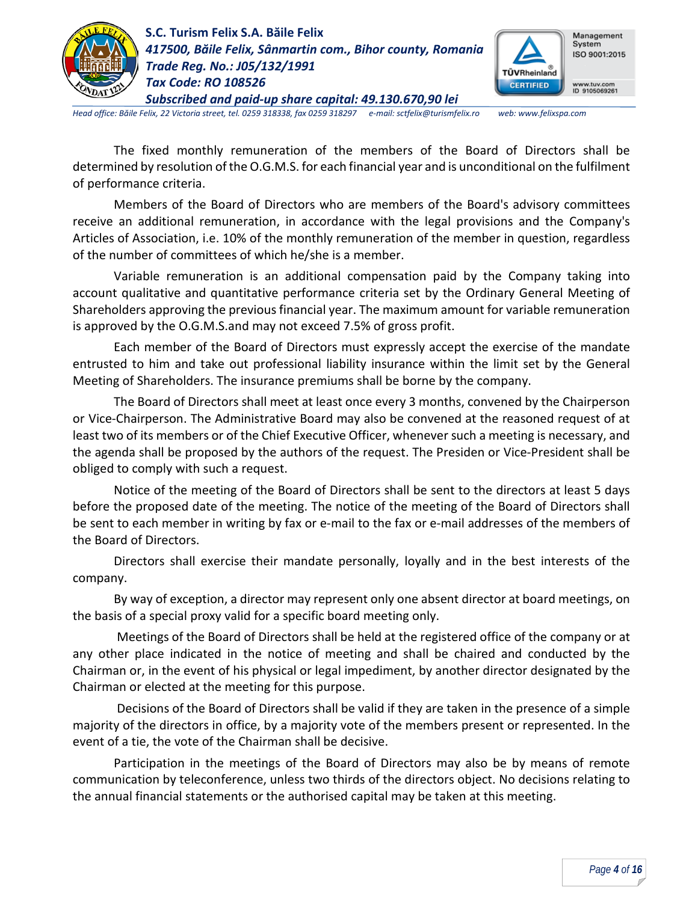



*Head office: Băile Felix, 22 Victoria street, tel. 0259 318338, fax 0259 318297 e-mail: sctfelix@turismfelix.ro web: www.felixspa.com*

The fixed monthly remuneration of the members of the Board of Directors shall be determined by resolution of the O.G.M.S. for each financial year and is unconditional on the fulfilment of performance criteria.

Members of the Board of Directors who are members of the Board's advisory committees receive an additional remuneration, in accordance with the legal provisions and the Company's Articles of Association, i.e. 10% of the monthly remuneration of the member in question, regardless of the number of committees of which he/she is a member.

Variable remuneration is an additional compensation paid by the Company taking into account qualitative and quantitative performance criteria set by the Ordinary General Meeting of Shareholders approving the previous financial year. The maximum amount for variable remuneration is approved by the O.G.M.S.and may not exceed 7.5% of gross profit.

Each member of the Board of Directors must expressly accept the exercise of the mandate entrusted to him and take out professional liability insurance within the limit set by the General Meeting of Shareholders. The insurance premiums shall be borne by the company.

The Board of Directors shall meet at least once every 3 months, convened by the Chairperson or Vice-Chairperson. The Administrative Board may also be convened at the reasoned request of at least two of its members or of the Chief Executive Officer, whenever such a meeting is necessary, and the agenda shall be proposed by the authors of the request. The Presiden or Vice-President shall be obliged to comply with such a request.

Notice of the meeting of the Board of Directors shall be sent to the directors at least 5 days before the proposed date of the meeting. The notice of the meeting of the Board of Directors shall be sent to each member in writing by fax or e-mail to the fax or e-mail addresses of the members of the Board of Directors.

Directors shall exercise their mandate personally, loyally and in the best interests of the company.

By way of exception, a director may represent only one absent director at board meetings, on the basis of a special proxy valid for a specific board meeting only.

Meetings of the Board of Directors shall be held at the registered office of the company or at any other place indicated in the notice of meeting and shall be chaired and conducted by the Chairman or, in the event of his physical or legal impediment, by another director designated by the Chairman or elected at the meeting for this purpose.

Decisions of the Board of Directors shall be valid if they are taken in the presence of a simple majority of the directors in office, by a majority vote of the members present or represented. In the event of a tie, the vote of the Chairman shall be decisive.

Participation in the meetings of the Board of Directors may also be by means of remote communication by teleconference, unless two thirds of the directors object. No decisions relating to the annual financial statements or the authorised capital may be taken at this meeting.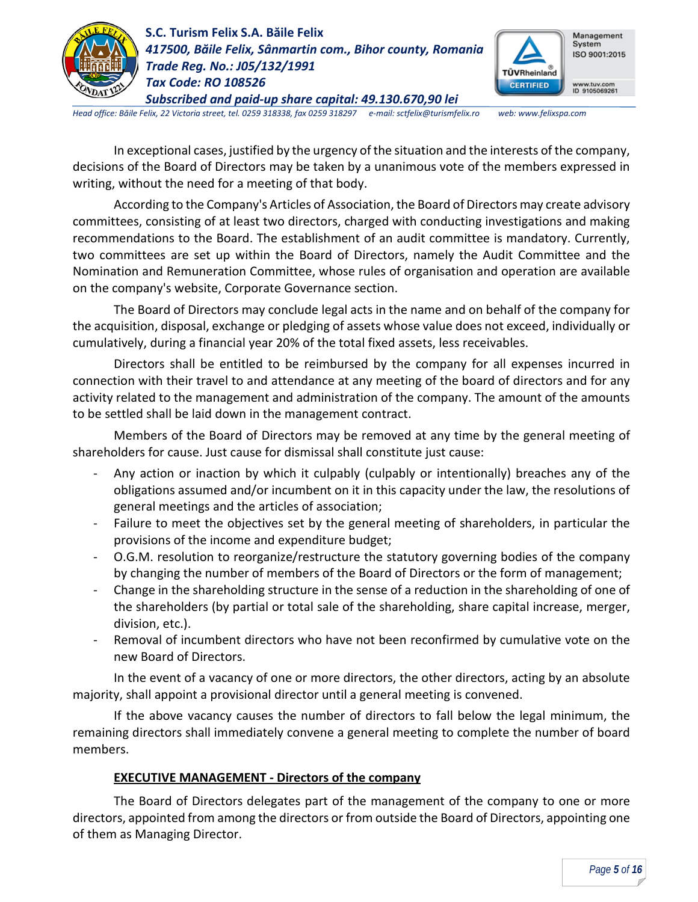



*Head office: Băile Felix, 22 Victoria street, tel. 0259 318338, fax 0259 318297 e-mail: sctfelix@turismfelix.ro web: www.felixspa.com*

In exceptional cases, justified by the urgency of the situation and the interests of the company, decisions of the Board of Directors may be taken by a unanimous vote of the members expressed in writing, without the need for a meeting of that body.

According to the Company's Articles of Association, the Board of Directors may create advisory committees, consisting of at least two directors, charged with conducting investigations and making recommendations to the Board. The establishment of an audit committee is mandatory. Currently, two committees are set up within the Board of Directors, namely the Audit Committee and the Nomination and Remuneration Committee, whose rules of organisation and operation are available on the company's website, Corporate Governance section.

The Board of Directors may conclude legal acts in the name and on behalf of the company for the acquisition, disposal, exchange or pledging of assets whose value does not exceed, individually or cumulatively, during a financial year 20% of the total fixed assets, less receivables.

Directors shall be entitled to be reimbursed by the company for all expenses incurred in connection with their travel to and attendance at any meeting of the board of directors and for any activity related to the management and administration of the company. The amount of the amounts to be settled shall be laid down in the management contract.

Members of the Board of Directors may be removed at any time by the general meeting of shareholders for cause. Just cause for dismissal shall constitute just cause:

- Any action or inaction by which it culpably (culpably or intentionally) breaches any of the obligations assumed and/or incumbent on it in this capacity under the law, the resolutions of general meetings and the articles of association;
- Failure to meet the objectives set by the general meeting of shareholders, in particular the provisions of the income and expenditure budget;
- O.G.M. resolution to reorganize/restructure the statutory governing bodies of the company by changing the number of members of the Board of Directors or the form of management;
- Change in the shareholding structure in the sense of a reduction in the shareholding of one of the shareholders (by partial or total sale of the shareholding, share capital increase, merger, division, etc.).
- Removal of incumbent directors who have not been reconfirmed by cumulative vote on the new Board of Directors.

In the event of a vacancy of one or more directors, the other directors, acting by an absolute majority, shall appoint a provisional director until a general meeting is convened.

If the above vacancy causes the number of directors to fall below the legal minimum, the remaining directors shall immediately convene a general meeting to complete the number of board members.

#### **EXECUTIVE MANAGEMENT - Directors of the company**

The Board of Directors delegates part of the management of the company to one or more directors, appointed from among the directors or from outside the Board of Directors, appointing one of them as Managing Director.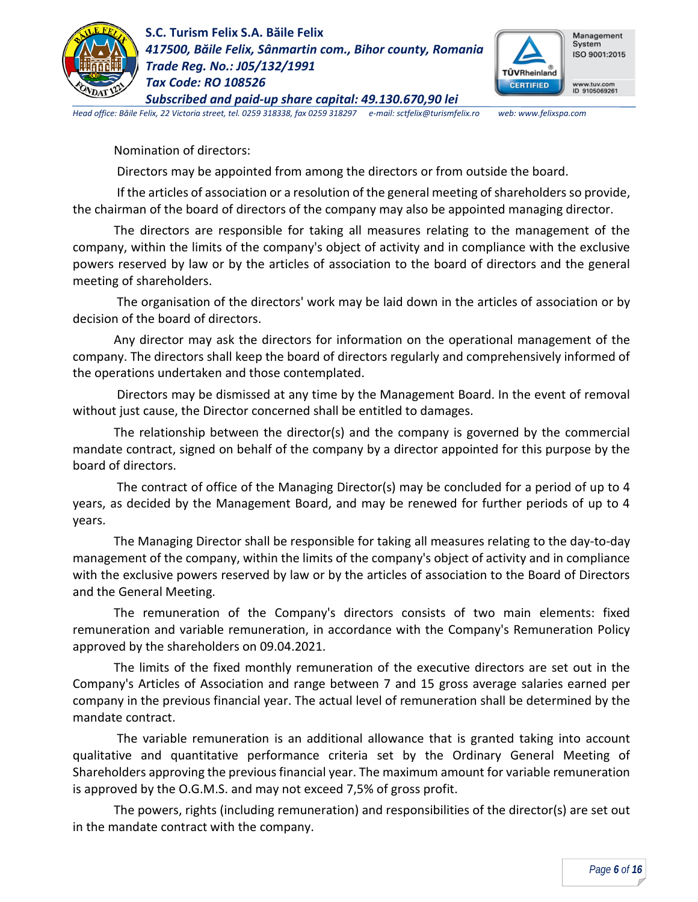



*Head office: Băile Felix, 22 Victoria street, tel. 0259 318338, fax 0259 318297 e-mail: sctfelix@turismfelix.ro web: www.felixspa.com*

Nomination of directors:

Directors may be appointed from among the directors or from outside the board.

If the articles of association or a resolution of the general meeting of shareholders so provide, the chairman of the board of directors of the company may also be appointed managing director.

The directors are responsible for taking all measures relating to the management of the company, within the limits of the company's object of activity and in compliance with the exclusive powers reserved by law or by the articles of association to the board of directors and the general meeting of shareholders.

The organisation of the directors' work may be laid down in the articles of association or by decision of the board of directors.

Any director may ask the directors for information on the operational management of the company. The directors shall keep the board of directors regularly and comprehensively informed of the operations undertaken and those contemplated.

Directors may be dismissed at any time by the Management Board. In the event of removal without just cause, the Director concerned shall be entitled to damages.

The relationship between the director(s) and the company is governed by the commercial mandate contract, signed on behalf of the company by a director appointed for this purpose by the board of directors.

The contract of office of the Managing Director(s) may be concluded for a period of up to 4 years, as decided by the Management Board, and may be renewed for further periods of up to 4 years.

The Managing Director shall be responsible for taking all measures relating to the day-to-day management of the company, within the limits of the company's object of activity and in compliance with the exclusive powers reserved by law or by the articles of association to the Board of Directors and the General Meeting.

The remuneration of the Company's directors consists of two main elements: fixed remuneration and variable remuneration, in accordance with the Company's Remuneration Policy approved by the shareholders on 09.04.2021.

The limits of the fixed monthly remuneration of the executive directors are set out in the Company's Articles of Association and range between 7 and 15 gross average salaries earned per company in the previous financial year. The actual level of remuneration shall be determined by the mandate contract.

The variable remuneration is an additional allowance that is granted taking into account qualitative and quantitative performance criteria set by the Ordinary General Meeting of Shareholders approving the previous financial year. The maximum amount for variable remuneration is approved by the O.G.M.S. and may not exceed 7,5% of gross profit.

The powers, rights (including remuneration) and responsibilities of the director(s) are set out in the mandate contract with the company.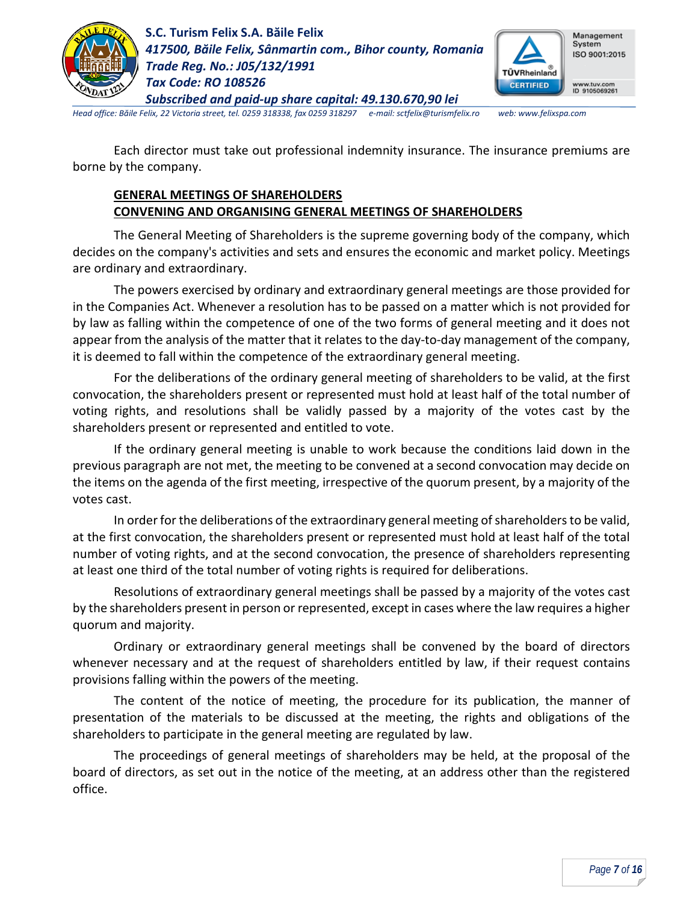

**S.C. Turism Felix S.A. Băile Felix** *417500, Băile Felix, Sânmartin com., Bihor county, Romania Trade Reg. No.: J05/132/1991 Tax Code: RO 108526*



*Subscribed and paid-up share capital: 49.130.670,90 lei Head office: Băile Felix, 22 Victoria street, tel. 0259 318338, fax 0259 318297 e-mail: sctfelix@turismfelix.ro web: www.felixspa.com*

Each director must take out professional indemnity insurance. The insurance premiums are borne by the company.

## **GENERAL MEETINGS OF SHAREHOLDERS CONVENING AND ORGANISING GENERAL MEETINGS OF SHAREHOLDERS**

The General Meeting of Shareholders is the supreme governing body of the company, which decides on the company's activities and sets and ensures the economic and market policy. Meetings are ordinary and extraordinary.

The powers exercised by ordinary and extraordinary general meetings are those provided for in the Companies Act. Whenever a resolution has to be passed on a matter which is not provided for by law as falling within the competence of one of the two forms of general meeting and it does not appear from the analysis of the matter that it relates to the day-to-day management of the company, it is deemed to fall within the competence of the extraordinary general meeting.

For the deliberations of the ordinary general meeting of shareholders to be valid, at the first convocation, the shareholders present or represented must hold at least half of the total number of voting rights, and resolutions shall be validly passed by a majority of the votes cast by the shareholders present or represented and entitled to vote.

If the ordinary general meeting is unable to work because the conditions laid down in the previous paragraph are not met, the meeting to be convened at a second convocation may decide on the items on the agenda of the first meeting, irrespective of the quorum present, by a majority of the votes cast.

In order for the deliberations of the extraordinary general meeting of shareholders to be valid, at the first convocation, the shareholders present or represented must hold at least half of the total number of voting rights, and at the second convocation, the presence of shareholders representing at least one third of the total number of voting rights is required for deliberations.

Resolutions of extraordinary general meetings shall be passed by a majority of the votes cast by the shareholders present in person or represented, except in cases where the law requires a higher quorum and majority.

Ordinary or extraordinary general meetings shall be convened by the board of directors whenever necessary and at the request of shareholders entitled by law, if their request contains provisions falling within the powers of the meeting.

The content of the notice of meeting, the procedure for its publication, the manner of presentation of the materials to be discussed at the meeting, the rights and obligations of the shareholders to participate in the general meeting are regulated by law.

The proceedings of general meetings of shareholders may be held, at the proposal of the board of directors, as set out in the notice of the meeting, at an address other than the registered office.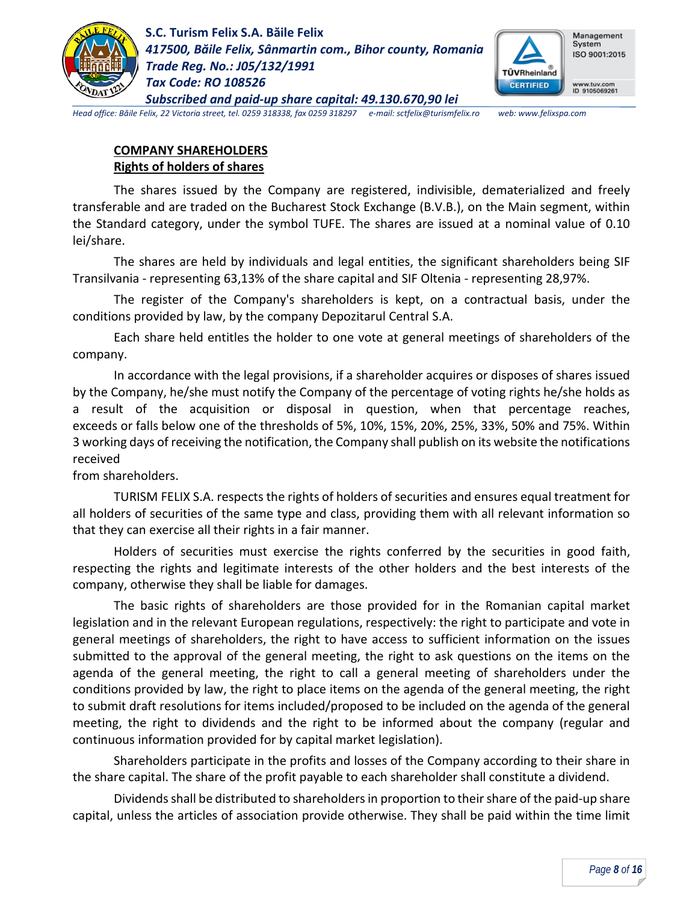



*Head office: Băile Felix, 22 Victoria street, tel. 0259 318338, fax 0259 318297 e-mail: sctfelix@turismfelix.ro web: www.felixspa.com*

### **COMPANY SHAREHOLDERS Rights of holders of shares**

The shares issued by the Company are registered, indivisible, dematerialized and freely transferable and are traded on the Bucharest Stock Exchange (B.V.B.), on the Main segment, within the Standard category, under the symbol TUFE. The shares are issued at a nominal value of 0.10 lei/share.

The shares are held by individuals and legal entities, the significant shareholders being SIF Transilvania - representing 63,13% of the share capital and SIF Oltenia - representing 28,97%.

The register of the Company's shareholders is kept, on a contractual basis, under the conditions provided by law, by the company Depozitarul Central S.A.

Each share held entitles the holder to one vote at general meetings of shareholders of the company.

In accordance with the legal provisions, if a shareholder acquires or disposes of shares issued by the Company, he/she must notify the Company of the percentage of voting rights he/she holds as a result of the acquisition or disposal in question, when that percentage reaches, exceeds or falls below one of the thresholds of 5%, 10%, 15%, 20%, 25%, 33%, 50% and 75%. Within 3 working days of receiving the notification, the Company shall publish on its website the notifications received

from shareholders.

TURISM FELIX S.A. respects the rights of holders of securities and ensures equal treatment for all holders of securities of the same type and class, providing them with all relevant information so that they can exercise all their rights in a fair manner.

Holders of securities must exercise the rights conferred by the securities in good faith, respecting the rights and legitimate interests of the other holders and the best interests of the company, otherwise they shall be liable for damages.

The basic rights of shareholders are those provided for in the Romanian capital market legislation and in the relevant European regulations, respectively: the right to participate and vote in general meetings of shareholders, the right to have access to sufficient information on the issues submitted to the approval of the general meeting, the right to ask questions on the items on the agenda of the general meeting, the right to call a general meeting of shareholders under the conditions provided by law, the right to place items on the agenda of the general meeting, the right to submit draft resolutions for items included/proposed to be included on the agenda of the general meeting, the right to dividends and the right to be informed about the company (regular and continuous information provided for by capital market legislation).

Shareholders participate in the profits and losses of the Company according to their share in the share capital. The share of the profit payable to each shareholder shall constitute a dividend.

Dividends shall be distributed to shareholders in proportion to their share of the paid-up share capital, unless the articles of association provide otherwise. They shall be paid within the time limit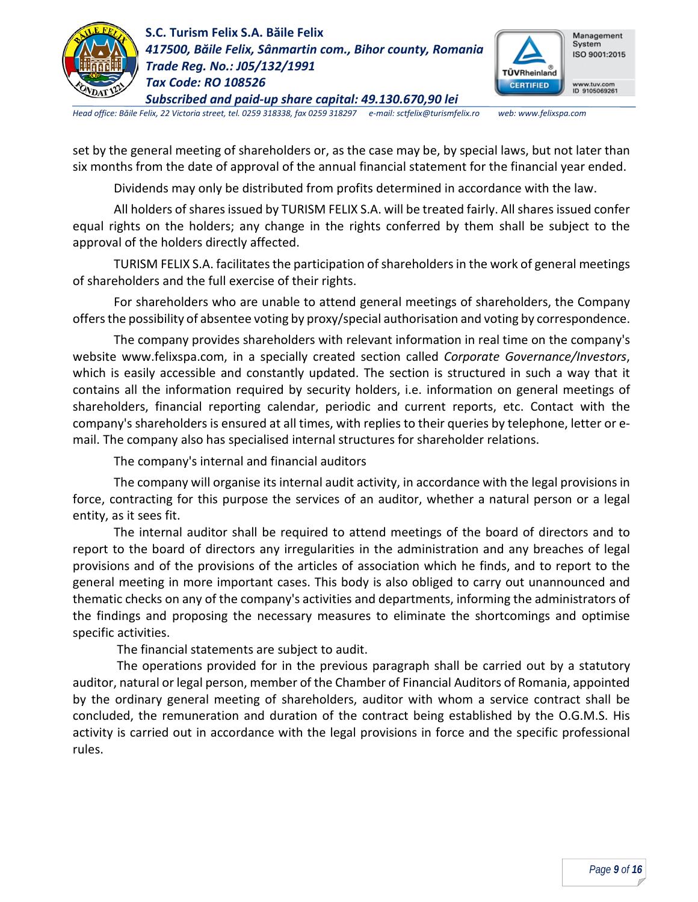



*Head office: Băile Felix, 22 Victoria street, tel. 0259 318338, fax 0259 318297 e-mail: sctfelix@turismfelix.ro web: www.felixspa.com*

set by the general meeting of shareholders or, as the case may be, by special laws, but not later than six months from the date of approval of the annual financial statement for the financial year ended.

Dividends may only be distributed from profits determined in accordance with the law.

All holders of shares issued by TURISM FELIX S.A. will be treated fairly. All shares issued confer equal rights on the holders; any change in the rights conferred by them shall be subject to the approval of the holders directly affected.

TURISM FELIX S.A. facilitates the participation of shareholders in the work of general meetings of shareholders and the full exercise of their rights.

For shareholders who are unable to attend general meetings of shareholders, the Company offers the possibility of absentee voting by proxy/special authorisation and voting by correspondence.

The company provides shareholders with relevant information in real time on the company's website www.felixspa.com, in a specially created section called *Corporate Governance/Investors*, which is easily accessible and constantly updated. The section is structured in such a way that it contains all the information required by security holders, i.e. information on general meetings of shareholders, financial reporting calendar, periodic and current reports, etc. Contact with the company's shareholders is ensured at all times, with replies to their queries by telephone, letter or email. The company also has specialised internal structures for shareholder relations.

The company's internal and financial auditors

The company will organise its internal audit activity, in accordance with the legal provisions in force, contracting for this purpose the services of an auditor, whether a natural person or a legal entity, as it sees fit.

The internal auditor shall be required to attend meetings of the board of directors and to report to the board of directors any irregularities in the administration and any breaches of legal provisions and of the provisions of the articles of association which he finds, and to report to the general meeting in more important cases. This body is also obliged to carry out unannounced and thematic checks on any of the company's activities and departments, informing the administrators of the findings and proposing the necessary measures to eliminate the shortcomings and optimise specific activities.

The financial statements are subject to audit.

The operations provided for in the previous paragraph shall be carried out by a statutory auditor, natural or legal person, member of the Chamber of Financial Auditors of Romania, appointed by the ordinary general meeting of shareholders, auditor with whom a service contract shall be concluded, the remuneration and duration of the contract being established by the O.G.M.S. His activity is carried out in accordance with the legal provisions in force and the specific professional rules.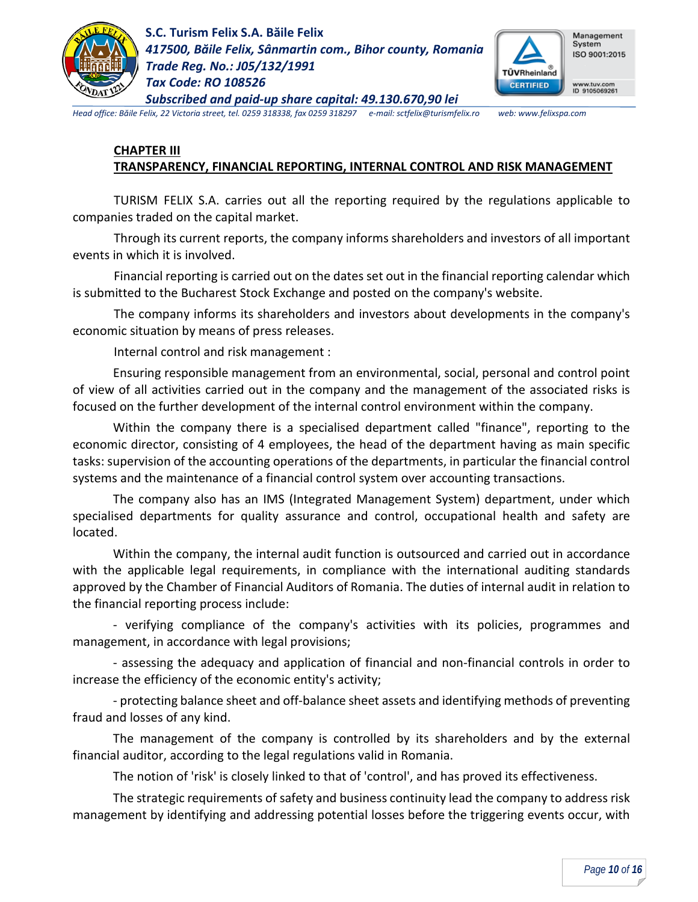

**S.C. Turism Felix S.A. Băile Felix** *417500, Băile Felix, Sânmartin com., Bihor county, Romania Trade Reg. No.: J05/132/1991 Tax Code: RO 108526*



*Head office: Băile Felix, 22 Victoria street, tel. 0259 318338, fax 0259 318297 e-mail: sctfelix@turismfelix.ro web: www.felixspa.com*

*Subscribed and paid-up share capital: 49.130.670,90 lei*

#### **CHAPTER III TRANSPARENCY, FINANCIAL REPORTING, INTERNAL CONTROL AND RISK MANAGEMENT**

TURISM FELIX S.A. carries out all the reporting required by the regulations applicable to companies traded on the capital market.

Through its current reports, the company informs shareholders and investors of all important events in which it is involved.

Financial reporting is carried out on the dates set out in the financial reporting calendar which is submitted to the Bucharest Stock Exchange and posted on the company's website.

The company informs its shareholders and investors about developments in the company's economic situation by means of press releases.

Internal control and risk management :

Ensuring responsible management from an environmental, social, personal and control point of view of all activities carried out in the company and the management of the associated risks is focused on the further development of the internal control environment within the company.

Within the company there is a specialised department called "finance", reporting to the economic director, consisting of 4 employees, the head of the department having as main specific tasks: supervision of the accounting operations of the departments, in particular the financial control systems and the maintenance of a financial control system over accounting transactions.

The company also has an IMS (Integrated Management System) department, under which specialised departments for quality assurance and control, occupational health and safety are located.

Within the company, the internal audit function is outsourced and carried out in accordance with the applicable legal requirements, in compliance with the international auditing standards approved by the Chamber of Financial Auditors of Romania. The duties of internal audit in relation to the financial reporting process include:

- verifying compliance of the company's activities with its policies, programmes and management, in accordance with legal provisions;

- assessing the adequacy and application of financial and non-financial controls in order to increase the efficiency of the economic entity's activity;

- protecting balance sheet and off-balance sheet assets and identifying methods of preventing fraud and losses of any kind.

The management of the company is controlled by its shareholders and by the external financial auditor, according to the legal regulations valid in Romania.

The notion of 'risk' is closely linked to that of 'control', and has proved its effectiveness.

The strategic requirements of safety and business continuity lead the company to address risk management by identifying and addressing potential losses before the triggering events occur, with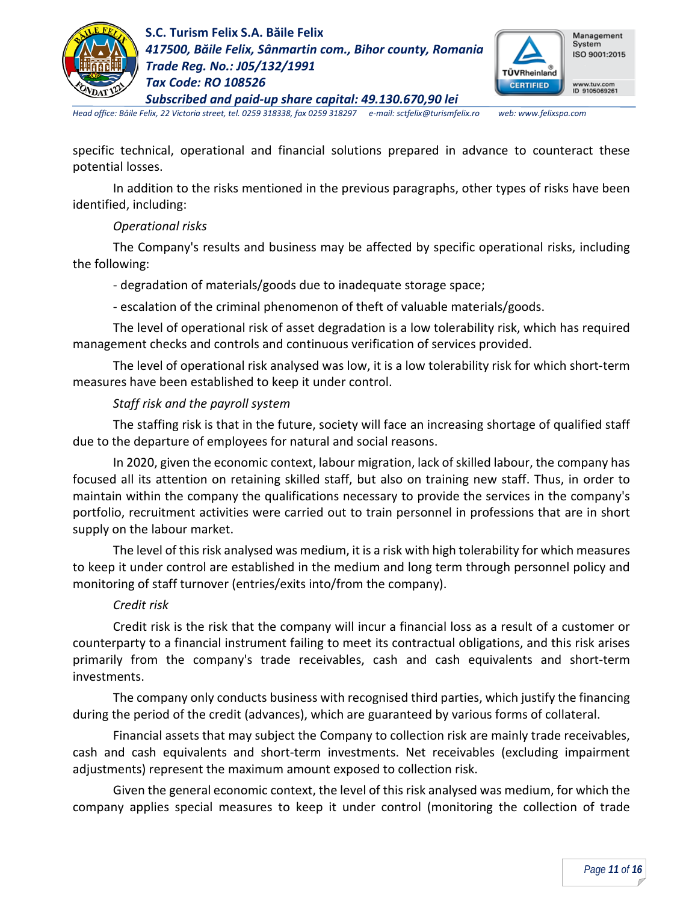

**S.C. Turism Felix S.A. Băile Felix** *417500, Băile Felix, Sânmartin com., Bihor county, Romania Trade Reg. No.: J05/132/1991 Tax Code: RO 108526*



*Subscribed and paid-up share capital: 49.130.670,90 lei Head office: Băile Felix, 22 Victoria street, tel. 0259 318338, fax 0259 318297 e-mail: sctfelix@turismfelix.ro web: www.felixspa.com*

specific technical, operational and financial solutions prepared in advance to counteract these potential losses.

In addition to the risks mentioned in the previous paragraphs, other types of risks have been identified, including:

### *Operational risks*

The Company's results and business may be affected by specific operational risks, including the following:

- degradation of materials/goods due to inadequate storage space;

- escalation of the criminal phenomenon of theft of valuable materials/goods.

The level of operational risk of asset degradation is a low tolerability risk, which has required management checks and controls and continuous verification of services provided.

The level of operational risk analysed was low, it is a low tolerability risk for which short-term measures have been established to keep it under control.

### *Staff risk and the payroll system*

The staffing risk is that in the future, society will face an increasing shortage of qualified staff due to the departure of employees for natural and social reasons.

In 2020, given the economic context, labour migration, lack of skilled labour, the company has focused all its attention on retaining skilled staff, but also on training new staff. Thus, in order to maintain within the company the qualifications necessary to provide the services in the company's portfolio, recruitment activities were carried out to train personnel in professions that are in short supply on the labour market.

The level of this risk analysed was medium, it is a risk with high tolerability for which measures to keep it under control are established in the medium and long term through personnel policy and monitoring of staff turnover (entries/exits into/from the company).

### *Credit risk*

Credit risk is the risk that the company will incur a financial loss as a result of a customer or counterparty to a financial instrument failing to meet its contractual obligations, and this risk arises primarily from the company's trade receivables, cash and cash equivalents and short-term investments.

The company only conducts business with recognised third parties, which justify the financing during the period of the credit (advances), which are guaranteed by various forms of collateral.

Financial assets that may subject the Company to collection risk are mainly trade receivables, cash and cash equivalents and short-term investments. Net receivables (excluding impairment adjustments) represent the maximum amount exposed to collection risk.

Given the general economic context, the level of this risk analysed was medium, for which the company applies special measures to keep it under control (monitoring the collection of trade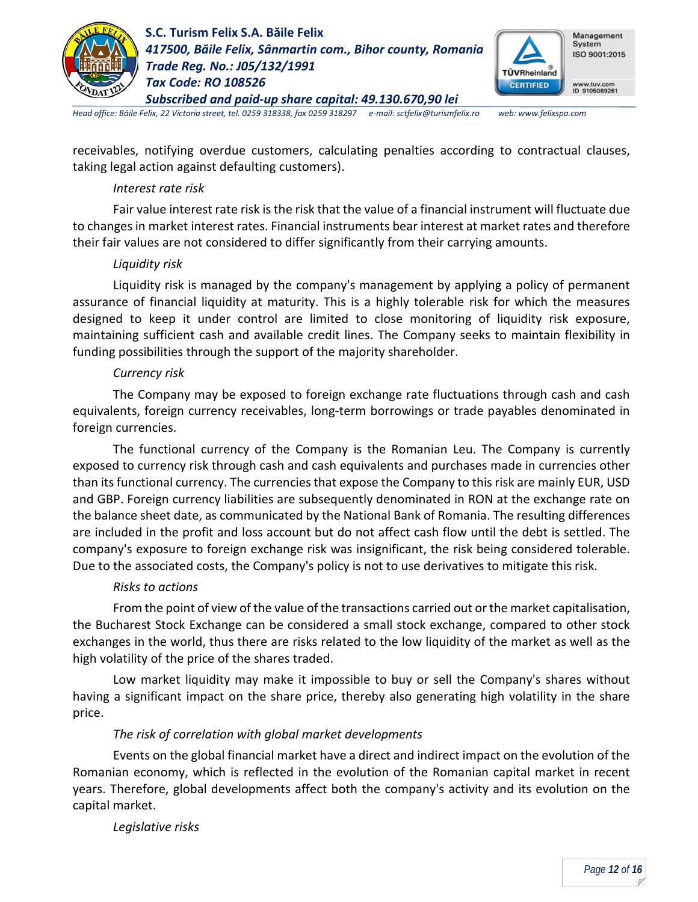



*Head office: Băile Felix, 22 Victoria street, tel. 0259 318338, fax 0259 318297 e-mail: sctfelix@turismfelix.ro web: www.felixspa.com*

receivables, notifying overdue customers, calculating penalties according to contractual clauses, taking legal action against defaulting customers).

#### *Interest rate risk*

Fair value interest rate risk is the risk that the value of a financial instrument will fluctuate due to changes in market interest rates. Financial instruments bear interest at market rates and therefore their fair values are not considered to differ significantly from their carrying amounts.

#### *Liquidity risk*

Liquidity risk is managed by the company's management by applying a policy of permanent assurance of financial liquidity at maturity. This is a highly tolerable risk for which the measures designed to keep it under control are limited to close monitoring of liquidity risk exposure, maintaining sufficient cash and available credit lines. The Company seeks to maintain flexibility in funding possibilities through the support of the majority shareholder.

### *Currency risk*

The Company may be exposed to foreign exchange rate fluctuations through cash and cash equivalents, foreign currency receivables, long-term borrowings or trade payables denominated in foreign currencies.

The functional currency of the Company is the Romanian Leu. The Company is currently exposed to currency risk through cash and cash equivalents and purchases made in currencies other than its functional currency. The currencies that expose the Company to this risk are mainly EUR, USD and GBP. Foreign currency liabilities are subsequently denominated in RON at the exchange rate on the balance sheet date, as communicated by the National Bank of Romania. The resulting differences are included in the profit and loss account but do not affect cash flow until the debt is settled. The company's exposure to foreign exchange risk was insignificant, the risk being considered tolerable. Due to the associated costs, the Company's policy is not to use derivatives to mitigate this risk.

### *Risks to actions*

From the point of view of the value of the transactions carried out or the market capitalisation, the Bucharest Stock Exchange can be considered a small stock exchange, compared to other stock exchanges in the world, thus there are risks related to the low liquidity of the market as well as the high volatility of the price of the shares traded.

Low market liquidity may make it impossible to buy or sell the Company's shares without having a significant impact on the share price, thereby also generating high volatility in the share price.

### *The risk of correlation with global market developments*

Events on the global financial market have a direct and indirect impact on the evolution of the Romanian economy, which is reflected in the evolution of the Romanian capital market in recent years. Therefore, global developments affect both the company's activity and its evolution on the capital market.

*Legislative risks*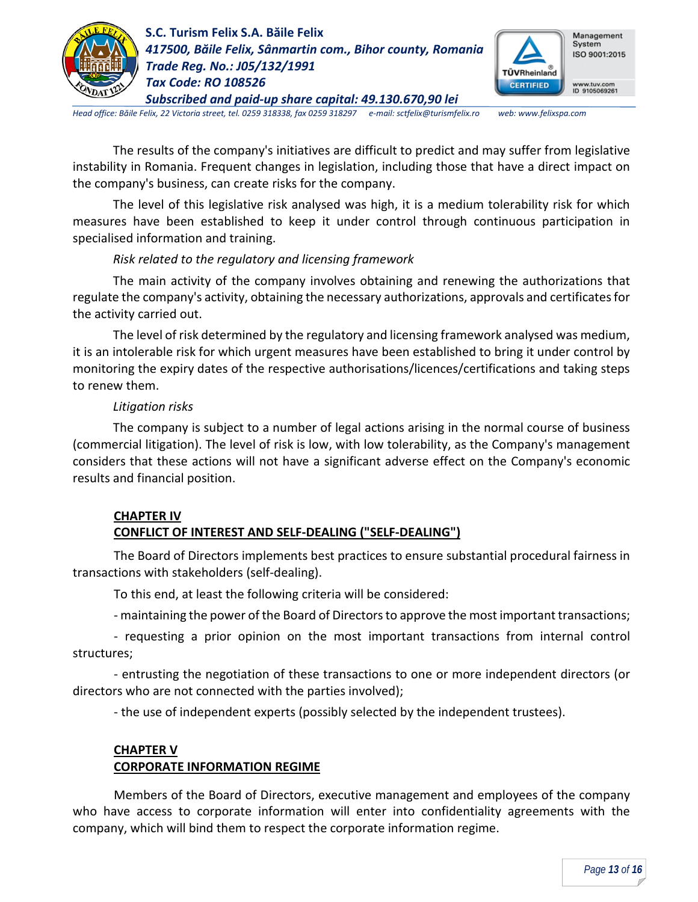



*Head office: Băile Felix, 22 Victoria street, tel. 0259 318338, fax 0259 318297 e-mail: sctfelix@turismfelix.ro web: www.felixspa.com*

The results of the company's initiatives are difficult to predict and may suffer from legislative instability in Romania. Frequent changes in legislation, including those that have a direct impact on the company's business, can create risks for the company.

The level of this legislative risk analysed was high, it is a medium tolerability risk for which measures have been established to keep it under control through continuous participation in specialised information and training.

## *Risk related to the regulatory and licensing framework*

The main activity of the company involves obtaining and renewing the authorizations that regulate the company's activity, obtaining the necessary authorizations, approvals and certificates for the activity carried out.

The level of risk determined by the regulatory and licensing framework analysed was medium, it is an intolerable risk for which urgent measures have been established to bring it under control by monitoring the expiry dates of the respective authorisations/licences/certifications and taking steps to renew them.

## *Litigation risks*

The company is subject to a number of legal actions arising in the normal course of business (commercial litigation). The level of risk is low, with low tolerability, as the Company's management considers that these actions will not have a significant adverse effect on the Company's economic results and financial position.

## **CHAPTER IV**

# **CONFLICT OF INTEREST AND SELF-DEALING ("SELF-DEALING")**

The Board of Directors implements best practices to ensure substantial procedural fairness in transactions with stakeholders (self-dealing).

To this end, at least the following criteria will be considered:

- maintaining the power of the Board of Directors to approve the most important transactions;

- requesting a prior opinion on the most important transactions from internal control structures;

- entrusting the negotiation of these transactions to one or more independent directors (or directors who are not connected with the parties involved);

- the use of independent experts (possibly selected by the independent trustees).

#### **CHAPTER V CORPORATE INFORMATION REGIME**

Members of the Board of Directors, executive management and employees of the company who have access to corporate information will enter into confidentiality agreements with the company, which will bind them to respect the corporate information regime.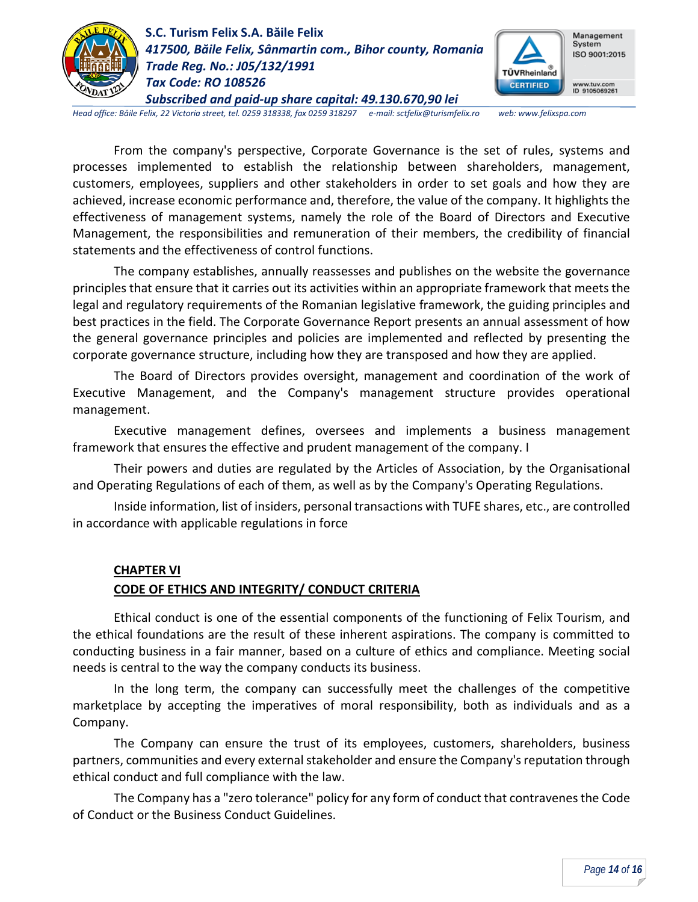



*Head office: Băile Felix, 22 Victoria street, tel. 0259 318338, fax 0259 318297 e-mail: sctfelix@turismfelix.ro web: www.felixspa.com*

From the company's perspective, Corporate Governance is the set of rules, systems and processes implemented to establish the relationship between shareholders, management, customers, employees, suppliers and other stakeholders in order to set goals and how they are achieved, increase economic performance and, therefore, the value of the company. It highlights the effectiveness of management systems, namely the role of the Board of Directors and Executive Management, the responsibilities and remuneration of their members, the credibility of financial statements and the effectiveness of control functions.

The company establishes, annually reassesses and publishes on the website the governance principles that ensure that it carries out its activities within an appropriate framework that meets the legal and regulatory requirements of the Romanian legislative framework, the guiding principles and best practices in the field. The Corporate Governance Report presents an annual assessment of how the general governance principles and policies are implemented and reflected by presenting the corporate governance structure, including how they are transposed and how they are applied.

The Board of Directors provides oversight, management and coordination of the work of Executive Management, and the Company's management structure provides operational management.

Executive management defines, oversees and implements a business management framework that ensures the effective and prudent management of the company. I

Their powers and duties are regulated by the Articles of Association, by the Organisational and Operating Regulations of each of them, as well as by the Company's Operating Regulations.

Inside information, list of insiders, personal transactions with TUFE shares, etc., are controlled in accordance with applicable regulations in force

#### **CHAPTER VI**

#### **CODE OF ETHICS AND INTEGRITY/ CONDUCT CRITERIA**

Ethical conduct is one of the essential components of the functioning of Felix Tourism, and the ethical foundations are the result of these inherent aspirations. The company is committed to conducting business in a fair manner, based on a culture of ethics and compliance. Meeting social needs is central to the way the company conducts its business.

In the long term, the company can successfully meet the challenges of the competitive marketplace by accepting the imperatives of moral responsibility, both as individuals and as a Company.

The Company can ensure the trust of its employees, customers, shareholders, business partners, communities and every external stakeholder and ensure the Company's reputation through ethical conduct and full compliance with the law.

The Company has a "zero tolerance" policy for any form of conduct that contravenes the Code of Conduct or the Business Conduct Guidelines.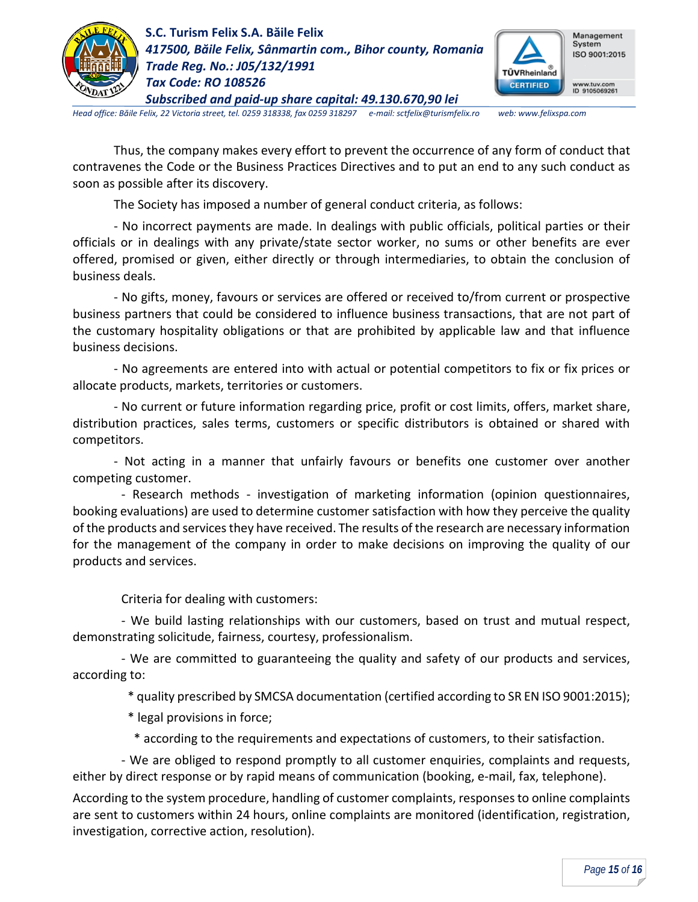



*Head office: Băile Felix, 22 Victoria street, tel. 0259 318338, fax 0259 318297 e-mail: sctfelix@turismfelix.ro web: www.felixspa.com*

Thus, the company makes every effort to prevent the occurrence of any form of conduct that contravenes the Code or the Business Practices Directives and to put an end to any such conduct as soon as possible after its discovery.

The Society has imposed a number of general conduct criteria, as follows:

- No incorrect payments are made. In dealings with public officials, political parties or their officials or in dealings with any private/state sector worker, no sums or other benefits are ever offered, promised or given, either directly or through intermediaries, to obtain the conclusion of business deals.

- No gifts, money, favours or services are offered or received to/from current or prospective business partners that could be considered to influence business transactions, that are not part of the customary hospitality obligations or that are prohibited by applicable law and that influence business decisions.

- No agreements are entered into with actual or potential competitors to fix or fix prices or allocate products, markets, territories or customers.

- No current or future information regarding price, profit or cost limits, offers, market share, distribution practices, sales terms, customers or specific distributors is obtained or shared with competitors.

- Not acting in a manner that unfairly favours or benefits one customer over another competing customer.

- Research methods - investigation of marketing information (opinion questionnaires, booking evaluations) are used to determine customer satisfaction with how they perceive the quality of the products and services they have received. The results of the research are necessary information for the management of the company in order to make decisions on improving the quality of our products and services.

Criteria for dealing with customers:

- We build lasting relationships with our customers, based on trust and mutual respect, demonstrating solicitude, fairness, courtesy, professionalism.

- We are committed to guaranteeing the quality and safety of our products and services, according to:

\* quality prescribed by SMCSA documentation (certified according to SR EN ISO 9001:2015);

- \* legal provisions in force;
- \* according to the requirements and expectations of customers, to their satisfaction.

- We are obliged to respond promptly to all customer enquiries, complaints and requests, either by direct response or by rapid means of communication (booking, e-mail, fax, telephone).

According to the system procedure, handling of customer complaints, responses to online complaints are sent to customers within 24 hours, online complaints are monitored (identification, registration, investigation, corrective action, resolution).